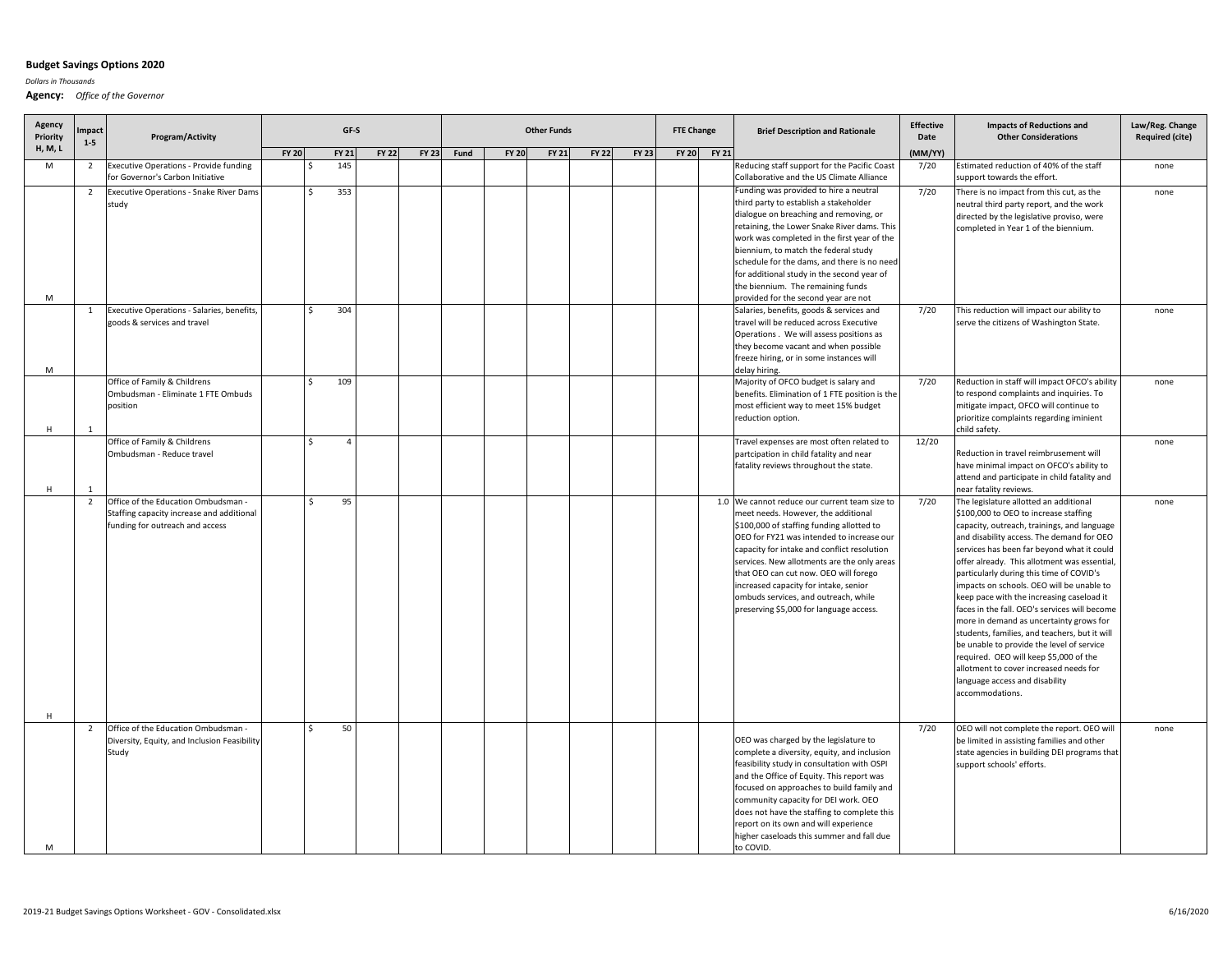## **Budget Savings Options 2020**

*Dollars in Thousands*

**Agency:** *Office of the Governor*

| Agency<br>Priority<br>H, M, L | mpact<br>$1 - 5$ | Program/Activity                                                                                                    | GF-S         |                   |                |              |              | <b>Other Funds</b> |              |              |              |              |              | <b>FTE Change</b> | <b>Brief Description and Rationale</b>                                                                                                                                                                                                                                                                                                                                                                                                            | <b>Effective</b><br>Date | <b>Impacts of Reductions and</b><br><b>Other Considerations</b>                                                                                                                                                                                                                                                                                                                                                                                                                                                                                                                                                                                                                                                                                    | Law/Reg. Change<br><b>Required (cite)</b> |
|-------------------------------|------------------|---------------------------------------------------------------------------------------------------------------------|--------------|-------------------|----------------|--------------|--------------|--------------------|--------------|--------------|--------------|--------------|--------------|-------------------|---------------------------------------------------------------------------------------------------------------------------------------------------------------------------------------------------------------------------------------------------------------------------------------------------------------------------------------------------------------------------------------------------------------------------------------------------|--------------------------|----------------------------------------------------------------------------------------------------------------------------------------------------------------------------------------------------------------------------------------------------------------------------------------------------------------------------------------------------------------------------------------------------------------------------------------------------------------------------------------------------------------------------------------------------------------------------------------------------------------------------------------------------------------------------------------------------------------------------------------------------|-------------------------------------------|
|                               |                  |                                                                                                                     | <b>FY 20</b> |                   | <b>FY 21</b>   | <b>FY 22</b> | <b>FY 23</b> | Fund               | <b>FY 20</b> | <b>FY 21</b> | <b>FY 22</b> | <b>FY 23</b> | <b>FY 20</b> | FY 21             |                                                                                                                                                                                                                                                                                                                                                                                                                                                   | (MM/YY)                  |                                                                                                                                                                                                                                                                                                                                                                                                                                                                                                                                                                                                                                                                                                                                                    |                                           |
| M                             | $\overline{2}$   | <b>Executive Operations - Provide funding</b><br>for Governor's Carbon Initiative                                   |              | S                 | 145            |              |              |                    |              |              |              |              |              |                   | Reducing staff support for the Pacific Coast<br>Collaborative and the US Climate Alliance                                                                                                                                                                                                                                                                                                                                                         | 7/20                     | Estimated reduction of 40% of the staff<br>support towards the effort.                                                                                                                                                                                                                                                                                                                                                                                                                                                                                                                                                                                                                                                                             | none                                      |
|                               | $\overline{2}$   | Executive Operations - Snake River Dams<br>study                                                                    |              | <sup>\$</sup>     | 353            |              |              |                    |              |              |              |              |              |                   | Funding was provided to hire a neutral<br>third party to establish a stakeholder<br>dialogue on breaching and removing, or<br>retaining, the Lower Snake River dams. This<br>work was completed in the first year of the<br>biennium, to match the federal study<br>schedule for the dams, and there is no need<br>for additional study in the second year of<br>the biennium. The remaining funds                                                | 7/20                     | There is no impact from this cut, as the<br>neutral third party report, and the work<br>directed by the legislative proviso, were<br>completed in Year 1 of the biennium.                                                                                                                                                                                                                                                                                                                                                                                                                                                                                                                                                                          | none                                      |
| M                             |                  |                                                                                                                     |              |                   |                |              |              |                    |              |              |              |              |              |                   | provided for the second year are not                                                                                                                                                                                                                                                                                                                                                                                                              |                          |                                                                                                                                                                                                                                                                                                                                                                                                                                                                                                                                                                                                                                                                                                                                                    |                                           |
| M                             | $\mathbf{1}$     | Executive Operations - Salaries, benefits,<br>goods & services and travel                                           |              | Ŝ.                | 304            |              |              |                    |              |              |              |              |              |                   | Salaries, benefits, goods & services and<br>travel will be reduced across Executive<br>Operations . We will assess positions as<br>they become vacant and when possible<br>freeze hiring, or in some instances will<br>delay hiring.                                                                                                                                                                                                              | 7/20                     | This reduction will impact our ability to<br>serve the citizens of Washington State.                                                                                                                                                                                                                                                                                                                                                                                                                                                                                                                                                                                                                                                               | none                                      |
| H                             | $\mathbf{1}$     | Office of Family & Childrens<br>Ombudsman - Eliminate 1 FTE Ombuds<br>position                                      |              | <sup>\$</sup>     | 109            |              |              |                    |              |              |              |              |              |                   | Majority of OFCO budget is salary and<br>benefits. Elimination of 1 FTE position is the<br>most efficient way to meet 15% budget<br>reduction option.                                                                                                                                                                                                                                                                                             | 7/20                     | Reduction in staff will impact OFCO's ability<br>to respond complaints and inquiries. To<br>mitigate impact, OFCO will continue to<br>prioritize complaints regarding iminient<br>child safety.                                                                                                                                                                                                                                                                                                                                                                                                                                                                                                                                                    | none                                      |
| H                             | $\mathbf{1}$     | Office of Family & Childrens<br>Ombudsman - Reduce travel                                                           |              | $\hat{\varsigma}$ | $\overline{4}$ |              |              |                    |              |              |              |              |              |                   | Travel expenses are most often related to<br>partcipation in child fatality and near<br>fatality reviews throughout the state.                                                                                                                                                                                                                                                                                                                    | 12/20                    | Reduction in travel reimbrusement will<br>have minimal impact on OFCO's ability to<br>attend and participate in child fatality and<br>near fatality reviews.                                                                                                                                                                                                                                                                                                                                                                                                                                                                                                                                                                                       | none                                      |
| H                             | $\overline{2}$   | Office of the Education Ombudsman -<br>Staffing capacity increase and additional<br>funding for outreach and access |              | $\zeta$           | 95             |              |              |                    |              |              |              |              |              |                   | 1.0 We cannot reduce our current team size to<br>meet needs. However, the additional<br>\$100,000 of staffing funding allotted to<br>OEO for FY21 was intended to increase our<br>capacity for intake and conflict resolution<br>services. New allotments are the only areas<br>that OEO can cut now. OEO will forego<br>increased capacity for intake, senior<br>ombuds services, and outreach, while<br>preserving \$5,000 for language access. | 7/20                     | The legislature allotted an additional<br>\$100,000 to OEO to increase staffing<br>capacity, outreach, trainings, and language<br>and disability access. The demand for OEO<br>services has been far beyond what it could<br>offer already. This allotment was essential,<br>particularly during this time of COVID's<br>impacts on schools. OEO will be unable to<br>keep pace with the increasing caseload it<br>faces in the fall. OEO's services will become<br>more in demand as uncertainty grows for<br>students, families, and teachers, but it will<br>be unable to provide the level of service<br>required. OEO will keep \$5,000 of the<br>allotment to cover increased needs for<br>language access and disability<br>accommodations. | none                                      |
| M                             | $\overline{2}$   | Office of the Education Ombudsman -<br>Diversity, Equity, and Inclusion Feasibility<br>Study                        |              | $\hat{\zeta}$     | 50             |              |              |                    |              |              |              |              |              |                   | OEO was charged by the legislature to<br>complete a diversity, equity, and inclusion<br>feasibility study in consultation with OSPI<br>and the Office of Equity. This report was<br>focused on approaches to build family and<br>community capacity for DEI work. OEO<br>does not have the staffing to complete this<br>report on its own and will experience<br>higher caseloads this summer and fall due<br>to COVID.                           | 7/20                     | OEO will not complete the report. OEO will<br>be limited in assisting families and other<br>state agencies in building DEI programs that<br>support schools' efforts.                                                                                                                                                                                                                                                                                                                                                                                                                                                                                                                                                                              | none                                      |